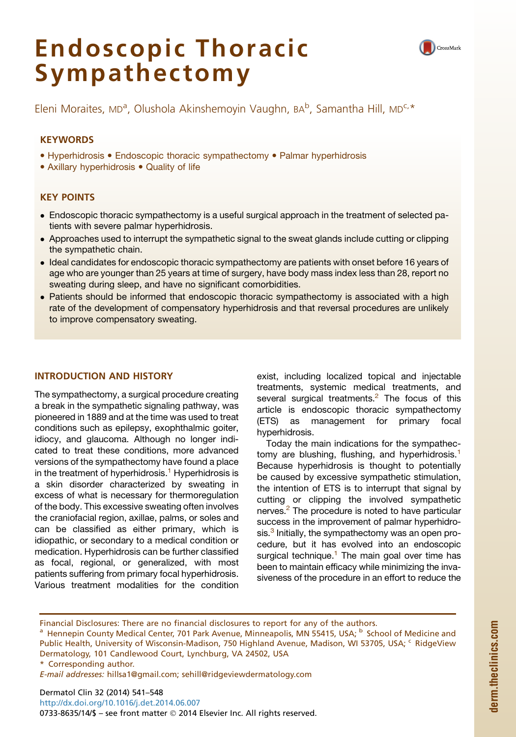# Endoscopic Thoracic Sympathectomy



Eleni Moraites, MD°, Olushola Akinshemoyin Vaughn, BA°, Samantha Hill, MD°<sup>. .</sup><br>.

# **KEYWORDS**

- Hyperhidrosis Endoscopic thoracic sympathectomy Palmar hyperhidrosis
- Axillary hyperhidrosis Quality of life

# KEY POINTS

- Endoscopic thoracic sympathectomy is a useful surgical approach in the treatment of selected patients with severe palmar hyperhidrosis.
- Approaches used to interrupt the sympathetic signal to the sweat glands include cutting or clipping the sympathetic chain.
- Ideal candidates for endoscopic thoracic sympathectomy are patients with onset before 16 years of age who are younger than 25 years at time of surgery, have body mass index less than 28, report no sweating during sleep, and have no significant comorbidities.
- Patients should be informed that endoscopic thoracic sympathectomy is associated with a high rate of the development of compensatory hyperhidrosis and that reversal procedures are unlikely to improve compensatory sweating.

## INTRODUCTION AND HISTORY

The sympathectomy, a surgical procedure creating a break in the sympathetic signaling pathway, was pioneered in 1889 and at the time was used to treat conditions such as epilepsy, exophthalmic goiter, idiocy, and glaucoma. Although no longer indicated to treat these conditions, more advanced versions of the sympathectomy have found a place in the treatment of hyperhidrosis.<sup>[1](#page-6-0)</sup> Hyperhidrosis is a skin disorder characterized by sweating in excess of what is necessary for thermoregulation of the body. This excessive sweating often involves the craniofacial region, axillae, palms, or soles and can be classified as either primary, which is idiopathic, or secondary to a medical condition or medication. Hyperhidrosis can be further classified as focal, regional, or generalized, with most patients suffering from primary focal hyperhidrosis. Various treatment modalities for the condition

exist, including localized topical and injectable treatments, systemic medical treatments, and several surgical treatments. $<sup>2</sup>$  The focus of this</sup> article is endoscopic thoracic sympathectomy (ETS) as management for primary focal hyperhidrosis.

Today the main indications for the sympathec-tomy are blushing, flushing, and hyperhidrosis.<sup>[1](#page-6-0)</sup> Because hyperhidrosis is thought to potentially be caused by excessive sympathetic stimulation, the intention of ETS is to interrupt that signal by cutting or clipping the involved sympathetic nerves.<sup>[2](#page-6-0)</sup> The procedure is noted to have particular success in the improvement of palmar hyperhidrosis.<sup>3</sup> Initially, the sympathectomy was an open procedure, but it has evolved into an endoscopic surgical technique.<sup>1</sup> The main goal over time has been to maintain efficacy while minimizing the invasiveness of the procedure in an effort to reduce the

Financial Disclosures: There are no financial disclosures to report for any of the authors.

<sup>a</sup> Hennepin County Medical Center, 701 Park Avenue, Minneapolis, MN 55415, USA; <sup>b</sup> School of Medicine and Public Health, University of Wisconsin-Madison, 750 Highland Avenue, Madison, WI 53705, USA; <sup>c</sup> RidgeView Dermatology, 101 Candlewood Court, Lynchburg, VA 24502, USA

\* Corresponding author.

E-mail addresses: [hillsa1@gmail.com;](mailto:hillsa1@gmail.com) [sehill@ridgeviewdermatology.com](mailto:sehill@ridgeviewdermatology.com)

Dermatol Clin 32 (2014) 541–548 <http://dx.doi.org/10.1016/j.det.2014.06.007> 0733-8635/14/\$ - see front matter © 2014 Elsevier Inc. All rights reserved.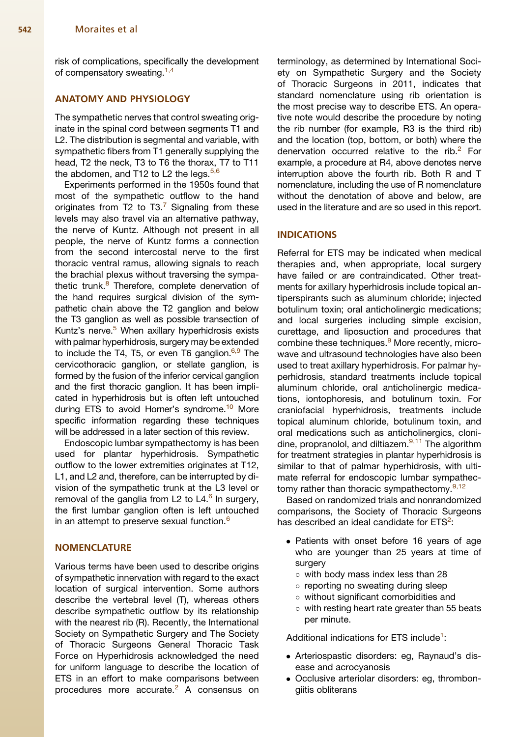risk of complications, specifically the development of compensatory sweating.<sup>[1,4](#page-6-0)</sup>

## ANATOMY AND PHYSIOLOGY

The sympathetic nerves that control sweating originate in the spinal cord between segments T1 and L2. The distribution is segmental and variable, with sympathetic fibers from T1 generally supplying the head, T2 the neck, T3 to T6 the thorax, T7 to T11 the abdomen, and T12 to L2 the legs.  $5,6$ 

Experiments performed in the 1950s found that most of the sympathetic outflow to the hand originates from T2 to T3. $<sup>7</sup>$  $<sup>7</sup>$  $<sup>7</sup>$  Signaling from these</sup> levels may also travel via an alternative pathway, the nerve of Kuntz. Although not present in all people, the nerve of Kuntz forms a connection from the second intercostal nerve to the first thoracic ventral ramus, allowing signals to reach the brachial plexus without traversing the sympathetic trunk.<sup>8</sup> Therefore, complete denervation of the hand requires surgical division of the sympathetic chain above the T2 ganglion and below the T3 ganglion as well as possible transection of Kuntz's nerve.<sup>5</sup> When axillary hyperhidrosis exists with palmar hyperhidrosis, surgery may be extended to include the T4, T5, or even T6 ganglion. $6,9$  The cervicothoracic ganglion, or stellate ganglion, is formed by the fusion of the inferior cervical ganglion and the first thoracic ganglion. It has been implicated in hyperhidrosis but is often left untouched during ETS to avoid Horner's syndrome.<sup>[10](#page-6-0)</sup> More specific information regarding these techniques will be addressed in a later section of this review.

Endoscopic lumbar sympathectomy is has been used for plantar hyperhidrosis. Sympathetic outflow to the lower extremities originates at T12, L1, and L2 and, therefore, can be interrupted by division of the sympathetic trunk at the L3 level or removal of the ganglia from L2 to L4.<sup>[6](#page-6-0)</sup> In surgery, the first lumbar ganglion often is left untouched in an attempt to preserve sexual function.<sup>[6](#page-6-0)</sup>

#### **NOMENCLATURE**

Various terms have been used to describe origins of sympathetic innervation with regard to the exact location of surgical intervention. Some authors describe the vertebral level (T), whereas others describe sympathetic outflow by its relationship with the nearest rib (R). Recently, the International Society on Sympathetic Surgery and The Society of Thoracic Surgeons General Thoracic Task Force on Hyperhidrosis acknowledged the need for uniform language to describe the location of ETS in an effort to make comparisons between procedures more accurate.<sup>[2](#page-6-0)</sup> A consensus on

terminology, as determined by International Society on Sympathetic Surgery and the Society of Thoracic Surgeons in 2011, indicates that standard nomenclature using rib orientation is the most precise way to describe ETS. An operative note would describe the procedure by noting the rib number (for example, R3 is the third rib) and the location (top, bottom, or both) where the denervation occurred relative to the rib. $2$  For example, a procedure at R4, above denotes nerve interruption above the fourth rib. Both R and T nomenclature, including the use of R nomenclature without the denotation of above and below, are used in the literature and are so used in this report.

## INDICATIONS

Referral for ETS may be indicated when medical therapies and, when appropriate, local surgery have failed or are contraindicated. Other treatments for axillary hyperhidrosis include topical antiperspirants such as aluminum chloride; injected botulinum toxin; oral anticholinergic medications; and local surgeries including simple excision, curettage, and liposuction and procedures that combine these techniques.<sup>[9](#page-6-0)</sup> More recently, microwave and ultrasound technologies have also been used to treat axillary hyperhidrosis. For palmar hyperhidrosis, standard treatments include topical aluminum chloride, oral anticholinergic medications, iontophoresis, and botulinum toxin. For craniofacial hyperhidrosis, treatments include topical aluminum chloride, botulinum toxin, and oral medications such as anticholinergics, cloni-dine, propranolol, and diltiazem.<sup>[9,11](#page-6-0)</sup> The algorithm for treatment strategies in plantar hyperhidrosis is similar to that of palmar hyperhidrosis, with ultimate referral for endoscopic lumbar sympathec-tomy rather than thoracic sympathectomy.<sup>[9,12](#page-6-0)</sup>

Based on randomized trials and nonrandomized comparisons, the Society of Thoracic Surgeons has described an ideal candidate for  $ETS<sup>2</sup>$  $ETS<sup>2</sup>$  $ETS<sup>2</sup>$ :

- Patients with onset before 16 years of age who are younger than 25 years at time of surgery
	- $\circ$  with body mass index less than 28
	- o reporting no sweating during sleep
	- without significant comorbidities and
	- $\circ$  with resting heart rate greater than 55 beats per minute.

Additional indications for ETS include<sup>[1](#page-6-0)</sup>:

- Arteriospastic disorders: eg, Raynaud's disease and acrocyanosis
- Occlusive arteriolar disorders: eg, thrombongiitis obliterans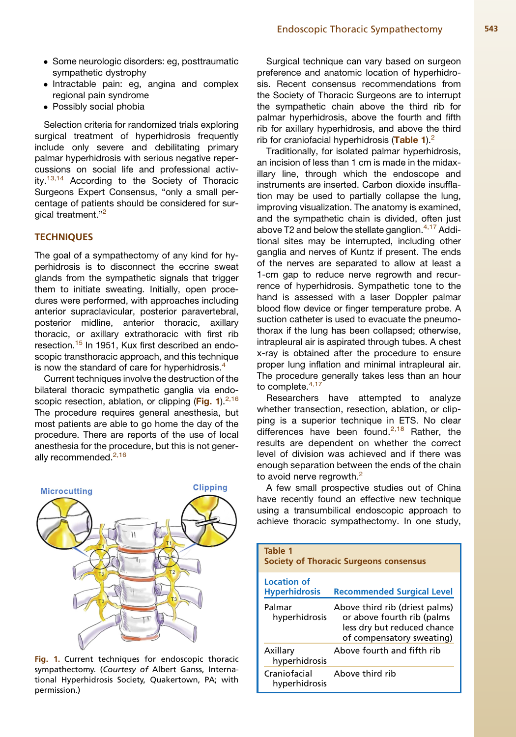- Some neurologic disorders: eg, posttraumatic sympathetic dystrophy
- Intractable pain: eg, angina and complex regional pain syndrome
- Possibly social phobia

Selection criteria for randomized trials exploring surgical treatment of hyperhidrosis frequently include only severe and debilitating primary palmar hyperhidrosis with serious negative repercussions on social life and professional activ-ity.<sup>[13,14](#page-6-0)</sup> According to the Society of Thoracic Surgeons Expert Consensus, "only a small percentage of patients should be considered for sur-gical treatment."<sup>[2](#page-6-0)</sup>

## **TECHNIQUES**

The goal of a sympathectomy of any kind for hyperhidrosis is to disconnect the eccrine sweat glands from the sympathetic signals that trigger them to initiate sweating. Initially, open procedures were performed, with approaches including anterior supraclavicular, posterior paravertebral, posterior midline, anterior thoracic, axillary thoracic, or axillary extrathoracic with first rib resection.<sup>[15](#page-6-0)</sup> In 1951, Kux first described an endoscopic transthoracic approach, and this technique is now the standard of care for hyperhidrosis.<sup>[4](#page-6-0)</sup>

Current techniques involve the destruction of the bilateral thoracic sympathetic ganglia via endoscopic resection, ablation, or clipping ( $Fig. 1$ ).<sup>[2,16](#page-6-0)</sup> The procedure requires general anesthesia, but most patients are able to go home the day of the procedure. There are reports of the use of local anesthesia for the procedure, but this is not gener-ally recommended.<sup>[2,16](#page-6-0)</sup>



Fig. 1. Current techniques for endoscopic thoracic sympathectomy. (Courtesy of Albert Ganss, International Hyperhidrosis Society, Quakertown, PA; with permission.)

Surgical technique can vary based on surgeon preference and anatomic location of hyperhidrosis. Recent consensus recommendations from the Society of Thoracic Surgeons are to interrupt the sympathetic chain above the third rib for palmar hyperhidrosis, above the fourth and fifth rib for axillary hyperhidrosis, and above the third rib for craniofacial hyperhidrosis (Table 1). $<sup>2</sup>$ </sup>

Traditionally, for isolated palmar hyperhidrosis, an incision of less than 1 cm is made in the midaxillary line, through which the endoscope and instruments are inserted. Carbon dioxide insufflation may be used to partially collapse the lung, improving visualization. The anatomy is examined, and the sympathetic chain is divided, often just above T2 and below the stellate ganglion. $4,17$  Additional sites may be interrupted, including other ganglia and nerves of Kuntz if present. The ends of the nerves are separated to allow at least a 1-cm gap to reduce nerve regrowth and recurrence of hyperhidrosis. Sympathetic tone to the hand is assessed with a laser Doppler palmar blood flow device or finger temperature probe. A suction catheter is used to evacuate the pneumothorax if the lung has been collapsed; otherwise, intrapleural air is aspirated through tubes. A chest x-ray is obtained after the procedure to ensure proper lung inflation and minimal intrapleural air. The procedure generally takes less than an hour to complete.<sup>[4,17](#page-6-0)</sup>

Researchers have attempted to analyze whether transection, resection, ablation, or clipping is a superior technique in ETS. No clear differences have been found.<sup>[2,18](#page-6-0)</sup> Rather, the results are dependent on whether the correct level of division was achieved and if there was enough separation between the ends of the chain to avoid nerve regrowth.<sup>[2](#page-6-0)</sup>

A few small prospective studies out of China have recently found an effective new technique using a transumbilical endoscopic approach to achieve thoracic sympathectomy. In one study,

| Table 1<br><b>Society of Thoracic Surgeons consensus</b> |                                                                                                                          |
|----------------------------------------------------------|--------------------------------------------------------------------------------------------------------------------------|
| <b>Location of</b><br><b>Hyperhidrosis</b>               | <b>Recommended Surgical Level</b>                                                                                        |
| Palmar<br>hyperhidrosis                                  | Above third rib (driest palms)<br>or above fourth rib (palms<br>less dry but reduced chance<br>of compensatory sweating) |
| Axillary<br>hyperhidrosis                                | Ahove fourth and fifth rib                                                                                               |
| Craniofacial<br>hyperhidrosis                            | Above third rib                                                                                                          |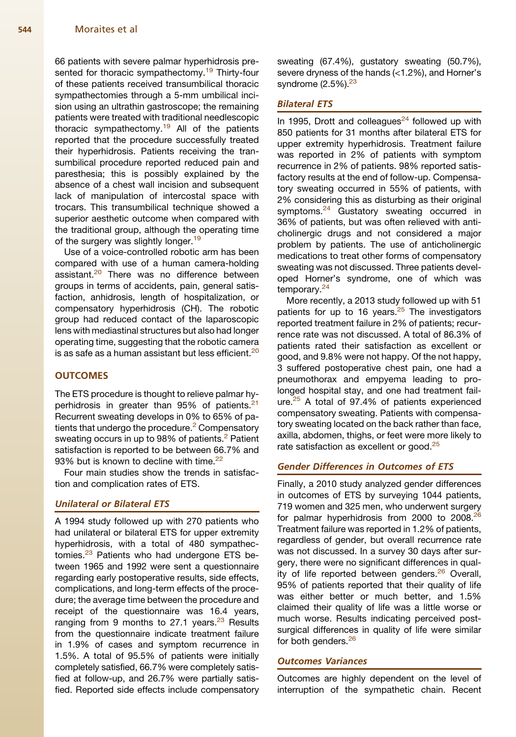66 patients with severe palmar hyperhidrosis pre-sented for thoracic sympathectomy.<sup>[19](#page-7-0)</sup> Thirty-four of these patients received transumbilical thoracic sympathectomies through a 5-mm umbilical incision using an ultrathin gastroscope; the remaining patients were treated with traditional needlescopic thoracic sympathectomy.<sup>[19](#page-7-0)</sup> All of the patients reported that the procedure successfully treated their hyperhidrosis. Patients receiving the transumbilical procedure reported reduced pain and paresthesia; this is possibly explained by the absence of a chest wall incision and subsequent lack of manipulation of intercostal space with trocars. This transumbilical technique showed a superior aesthetic outcome when compared with the traditional group, although the operating time of the surgery was slightly longer.<sup>[19](#page-7-0)</sup>

Use of a voice-controlled robotic arm has been compared with use of a human camera-holding assistant.<sup>[20](#page-7-0)</sup> There was no difference between groups in terms of accidents, pain, general satisfaction, anhidrosis, length of hospitalization, or compensatory hyperhidrosis (CH). The robotic group had reduced contact of the laparoscopic lens with mediastinal structures but also had longer operating time, suggesting that the robotic camera is as safe as a human assistant but less efficient.<sup>[20](#page-7-0)</sup>

## **OUTCOMES**

The ETS procedure is thought to relieve palmar hy-perhidrosis in greater than 95% of patients.<sup>[21](#page-7-0)</sup> Recurrent sweating develops in 0% to 65% of pa-tients that undergo the procedure.<sup>[2](#page-6-0)</sup> Compensatory sweating occurs in up to 98% of patients.<sup>[2](#page-6-0)</sup> Patient satisfaction is reported to be between 66.7% and 93% but is known to decline with time. $22$ 

Four main studies show the trends in satisfaction and complication rates of ETS.

## Unilateral or Bilateral ETS

A 1994 study followed up with 270 patients who had unilateral or bilateral ETS for upper extremity hyperhidrosis, with a total of 480 sympathec-tomies.<sup>[23](#page-7-0)</sup> Patients who had undergone ETS between 1965 and 1992 were sent a questionnaire regarding early postoperative results, side effects, complications, and long-term effects of the procedure; the average time between the procedure and receipt of the questionnaire was 16.4 years, ranging from 9 months to 27.1 years. $23$  Results from the questionnaire indicate treatment failure in 1.9% of cases and symptom recurrence in 1.5%. A total of 95.5% of patients were initially completely satisfied, 66.7% were completely satisfied at follow-up, and 26.7% were partially satisfied. Reported side effects include compensatory

sweating (67.4%), gustatory sweating (50.7%), severe dryness of the hands (<1.2%), and Horner's syndrome  $(2.5\%)$ .<sup>23</sup>

## Bilateral ETS

In 1995, Drott and colleagues $^{24}$  $^{24}$  $^{24}$  followed up with 850 patients for 31 months after bilateral ETS for upper extremity hyperhidrosis. Treatment failure was reported in 2% of patients with symptom recurrence in 2% of patients. 98% reported satisfactory results at the end of follow-up. Compensatory sweating occurred in 55% of patients, with 2% considering this as disturbing as their original symptoms.<sup>[24](#page-7-0)</sup> Gustatory sweating occurred in 36% of patients, but was often relieved with anticholinergic drugs and not considered a major problem by patients. The use of anticholinergic medications to treat other forms of compensatory sweating was not discussed. Three patients developed Horner's syndrome, one of which was temporary.<sup>[24](#page-7-0)</sup>

More recently, a 2013 study followed up with 51 patients for up to 16 years. $25$  The investigators reported treatment failure in 2% of patients; recurrence rate was not discussed. A total of 86.3% of patients rated their satisfaction as excellent or good, and 9.8% were not happy. Of the not happy, 3 suffered postoperative chest pain, one had a pneumothorax and empyema leading to prolonged hospital stay, and one had treatment fail-ure.<sup>[25](#page-7-0)</sup> A total of 97.4% of patients experienced compensatory sweating. Patients with compensatory sweating located on the back rather than face, axilla, abdomen, thighs, or feet were more likely to rate satisfaction as excellent or good.<sup>[25](#page-7-0)</sup>

## Gender Differences in Outcomes of ETS

Finally, a 2010 study analyzed gender differences in outcomes of ETS by surveying 1044 patients, 719 women and 325 men, who underwent surgery for palmar hyperhidrosis from 2000 to 2008.<sup>[26](#page-7-0)</sup> Treatment failure was reported in 1.2% of patients, regardless of gender, but overall recurrence rate was not discussed. In a survey 30 days after surgery, there were no significant differences in qual-ity of life reported between genders.<sup>[26](#page-7-0)</sup> Overall, 95% of patients reported that their quality of life was either better or much better, and 1.5% claimed their quality of life was a little worse or much worse. Results indicating perceived postsurgical differences in quality of life were similar for both genders.<sup>[26](#page-7-0)</sup>

#### Outcomes Variances

Outcomes are highly dependent on the level of interruption of the sympathetic chain. Recent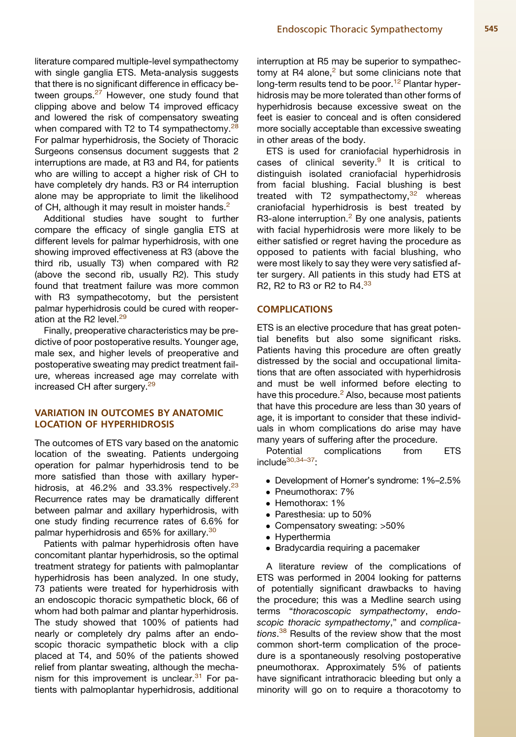with single ganglia ETS. Meta-analysis suggests that there is no significant difference in efficacy be-tween groups.<sup>[27](#page-7-0)</sup> However, one study found that clipping above and below T4 improved efficacy and lowered the risk of compensatory sweating when compared with T2 to T4 sympathectomy. $28$ For palmar hyperhidrosis, the Society of Thoracic Surgeons consensus document suggests that 2 interruptions are made, at R3 and R4, for patients who are willing to accept a higher risk of CH to have completely dry hands. R3 or R4 interruption alone may be appropriate to limit the likelihood of CH, although it may result in moister hands.<sup>[2](#page-6-0)</sup>

Additional studies have sought to further compare the efficacy of single ganglia ETS at different levels for palmar hyperhidrosis, with one showing improved effectiveness at R3 (above the third rib, usually T3) when compared with R2 (above the second rib, usually R2). This study found that treatment failure was more common with R3 sympathecotomy, but the persistent palmar hyperhidrosis could be cured with reoper-ation at the R2 level.<sup>[29](#page-7-0)</sup>

Finally, preoperative characteristics may be predictive of poor postoperative results. Younger age, male sex, and higher levels of preoperative and postoperative sweating may predict treatment failure, whereas increased age may correlate with increased CH after surgery.<sup>29</sup>

# VARIATION IN OUTCOMES BY ANATOMIC LOCATION OF HYPERHIDROSIS

The outcomes of ETS vary based on the anatomic location of the sweating. Patients undergoing operation for palmar hyperhidrosis tend to be more satisfied than those with axillary hyperhidrosis, at  $46.2\%$  and  $33.3\%$  respectively.<sup>[23](#page-7-0)</sup> Recurrence rates may be dramatically different between palmar and axillary hyperhidrosis, with one study finding recurrence rates of 6.6% for palmar hyperhidrosis and 65% for axillary.<sup>[30](#page-7-0)</sup>

Patients with palmar hyperhidrosis often have concomitant plantar hyperhidrosis, so the optimal treatment strategy for patients with palmoplantar hyperhidrosis has been analyzed. In one study, 73 patients were treated for hyperhidrosis with an endoscopic thoracic sympathetic block, 66 of whom had both palmar and plantar hyperhidrosis. The study showed that 100% of patients had nearly or completely dry palms after an endoscopic thoracic sympathetic block with a clip placed at T4, and 50% of the patients showed relief from plantar sweating, although the mechanism for this improvement is unclear. $31$  For patients with palmoplantar hyperhidrosis, additional interruption at R5 may be superior to sympathectomy at R4 alone, $<sup>2</sup>$  $<sup>2</sup>$  $<sup>2</sup>$  but some clinicians note that</sup> long-term results tend to be poor.<sup>[12](#page-6-0)</sup> Plantar hyperhidrosis may be more tolerated than other forms of hyperhidrosis because excessive sweat on the feet is easier to conceal and is often considered more socially acceptable than excessive sweating in other areas of the body.

ETS is used for craniofacial hyperhidrosis in cases of clinical severity. $9$  It is critical to distinguish isolated craniofacial hyperhidrosis from facial blushing. Facial blushing is best treated with T2 sympathectomy, $32$  whereas craniofacial hyperhidrosis is best treated by R3-alone interruption. $<sup>2</sup>$  $<sup>2</sup>$  $<sup>2</sup>$  By one analysis, patients</sup> with facial hyperhidrosis were more likely to be either satisfied or regret having the procedure as opposed to patients with facial blushing, who were most likely to say they were very satisfied after surgery. All patients in this study had ETS at R2, R2 to R3 or R2 to R4.[33](#page-7-0)

## **COMPLICATIONS**

ETS is an elective procedure that has great potential benefits but also some significant risks. Patients having this procedure are often greatly distressed by the social and occupational limitations that are often associated with hyperhidrosis and must be well informed before electing to have this procedure.<sup>[2](#page-6-0)</sup> Also, because most patients that have this procedure are less than 30 years of age, it is important to consider that these individuals in whom complications do arise may have many years of suffering after the procedure.

Potential complications from ETS include<sup>30,34-37</sup>

- Development of Horner's syndrome: 1%–2.5%
- Pneumothorax: 7%
- Hemothorax: 1%
- Paresthesia: up to 50%
- Compensatory sweating: >50%
- Hyperthermia
- Bradycardia requiring a pacemaker

A literature review of the complications of ETS was performed in 2004 looking for patterns of potentially significant drawbacks to having the procedure; this was a Medline search using terms "*thoracoscopic sympathectomy*, *endoscopic thoracic sympathectomy*," and *complications*. [38](#page-7-0) Results of the review show that the most common short-term complication of the procedure is a spontaneously resolving postoperative pneumothorax. Approximately 5% of patients have significant intrathoracic bleeding but only a minority will go on to require a thoracotomy to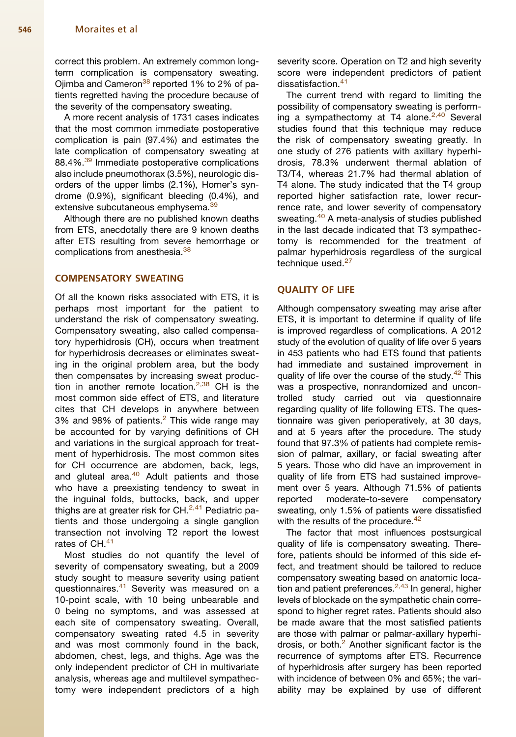#### 546 Moraites et al

correct this problem. An extremely common longterm complication is compensatory sweating. Ojimba and Cameron<sup>[38](#page-7-0)</sup> reported 1% to 2% of patients regretted having the procedure because of the severity of the compensatory sweating.

A more recent analysis of 1731 cases indicates that the most common immediate postoperative complication is pain (97.4%) and estimates the late complication of compensatory sweating at 88.4%.<sup>[39](#page-7-0)</sup> Immediate postoperative complications also include pneumothorax (3.5%), neurologic disorders of the upper limbs (2.1%), Horner's syndrome (0.9%), significant bleeding (0.4%), and extensive subcutaneous emphysema.<sup>[39](#page-7-0)</sup>

Although there are no published known deaths from ETS, anecdotally there are 9 known deaths after ETS resulting from severe hemorrhage or complications from anesthesia.<sup>[38](#page-7-0)</sup>

# COMPENSATORY SWEATING

Of all the known risks associated with ETS, it is perhaps most important for the patient to understand the risk of compensatory sweating. Compensatory sweating, also called compensatory hyperhidrosis (CH), occurs when treatment for hyperhidrosis decreases or eliminates sweating in the original problem area, but the body then compensates by increasing sweat production in another remote location. $2,38$  CH is the most common side effect of ETS, and literature cites that CH develops in anywhere between 3% and 98% of patients. $2$  This wide range may be accounted for by varying definitions of CH and variations in the surgical approach for treatment of hyperhidrosis. The most common sites for CH occurrence are abdomen, back, legs, and gluteal area. $40$  Adult patients and those who have a preexisting tendency to sweat in the inguinal folds, buttocks, back, and upper thighs are at greater risk for CH. $^{2,41}$  $^{2,41}$  $^{2,41}$  Pediatric patients and those undergoing a single ganglion transection not involving T2 report the lowest rates of CH.<sup>[41](#page-7-0)</sup>

Most studies do not quantify the level of severity of compensatory sweating, but a 2009 study sought to measure severity using patient questionnaires.<sup>[41](#page-7-0)</sup> Severity was measured on a 10-point scale, with 10 being unbearable and 0 being no symptoms, and was assessed at each site of compensatory sweating. Overall, compensatory sweating rated 4.5 in severity and was most commonly found in the back, abdomen, chest, legs, and thighs. Age was the only independent predictor of CH in multivariate analysis, whereas age and multilevel sympathectomy were independent predictors of a high

severity score. Operation on T2 and high severity score were independent predictors of patient dissatisfaction.<sup>[41](#page-7-0)</sup>

The current trend with regard to limiting the possibility of compensatory sweating is perform-ing a sympathectomy at T4 alone.<sup>[2,40](#page-6-0)</sup> Several studies found that this technique may reduce the risk of compensatory sweating greatly. In one study of 276 patients with axillary hyperhidrosis, 78.3% underwent thermal ablation of T3/T4, whereas 21.7% had thermal ablation of T4 alone. The study indicated that the T4 group reported higher satisfaction rate, lower recurrence rate, and lower severity of compensatory sweating.<sup>[40](#page-7-0)</sup> A meta-analysis of studies published in the last decade indicated that T3 sympathectomy is recommended for the treatment of palmar hyperhidrosis regardless of the surgical technique used.<sup>[27](#page-7-0)</sup>

## QUALITY OF LIFE

Although compensatory sweating may arise after ETS, it is important to determine if quality of life is improved regardless of complications. A 2012 study of the evolution of quality of life over 5 years in 453 patients who had ETS found that patients had immediate and sustained improvement in quality of life over the course of the study.<sup>[42](#page-7-0)</sup> This was a prospective, nonrandomized and uncontrolled study carried out via questionnaire regarding quality of life following ETS. The questionnaire was given perioperatively, at 30 days, and at 5 years after the procedure. The study found that 97.3% of patients had complete remission of palmar, axillary, or facial sweating after 5 years. Those who did have an improvement in quality of life from ETS had sustained improvement over 5 years. Although 71.5% of patients reported moderate-to-severe compensatory sweating, only 1.5% of patients were dissatisfied with the results of the procedure. $42$ 

The factor that most influences postsurgical quality of life is compensatory sweating. Therefore, patients should be informed of this side effect, and treatment should be tailored to reduce compensatory sweating based on anatomic loca-tion and patient preferences.<sup>[2,43](#page-6-0)</sup> In general, higher levels of blockade on the sympathetic chain correspond to higher regret rates. Patients should also be made aware that the most satisfied patients are those with palmar or palmar-axillary hyperhidrosis, or both. $<sup>2</sup>$  $<sup>2</sup>$  $<sup>2</sup>$  Another significant factor is the</sup> recurrence of symptoms after ETS. Recurrence of hyperhidrosis after surgery has been reported with incidence of between 0% and 65%; the variability may be explained by use of different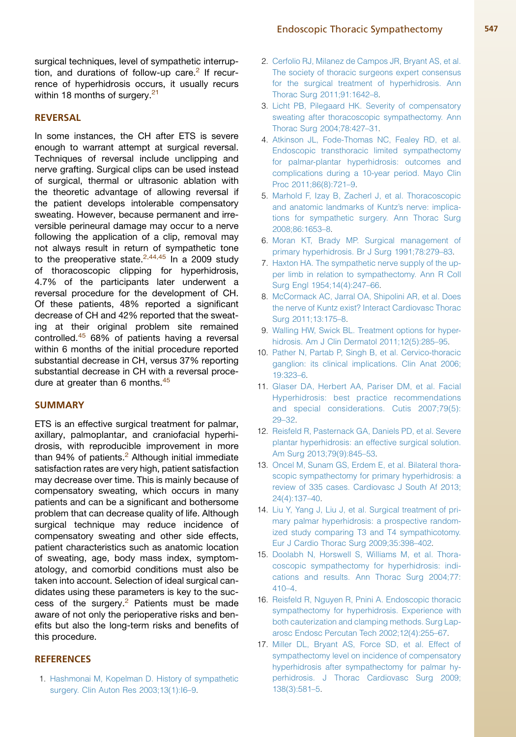<span id="page-6-0"></span>surgical techniques, level of sympathetic interruption, and durations of follow-up care. $2$  If recurrence of hyperhidrosis occurs, it usually recurs within 18 months of surgery. $21$ 

## REVERSAL

In some instances, the CH after ETS is severe enough to warrant attempt at surgical reversal. Techniques of reversal include unclipping and nerve grafting. Surgical clips can be used instead of surgical, thermal or ultrasonic ablation with the theoretic advantage of allowing reversal if the patient develops intolerable compensatory sweating. However, because permanent and irreversible perineural damage may occur to a nerve following the application of a clip, removal may not always result in return of sympathetic tone to the preoperative state. $2,44,45$  In a 2009 study of thoracoscopic clipping for hyperhidrosis, 4.7% of the participants later underwent a reversal procedure for the development of CH. Of these patients, 48% reported a significant decrease of CH and 42% reported that the sweating at their original problem site remained controlled.[45](#page-7-0) 68% of patients having a reversal within 6 months of the initial procedure reported substantial decrease in CH, versus 37% reporting substantial decrease in CH with a reversal proce-dure at greater than 6 months.<sup>[45](#page-7-0)</sup>

#### **SUMMARY**

ETS is an effective surgical treatment for palmar, axillary, palmoplantar, and craniofacial hyperhidrosis, with reproducible improvement in more than  $94\%$  of patients. $2$  Although initial immediate satisfaction rates are very high, patient satisfaction may decrease over time. This is mainly because of compensatory sweating, which occurs in many patients and can be a significant and bothersome problem that can decrease quality of life. Although surgical technique may reduce incidence of compensatory sweating and other side effects, patient characteristics such as anatomic location of sweating, age, body mass index, symptomatology, and comorbid conditions must also be taken into account. Selection of ideal surgical candidates using these parameters is key to the success of the surgery. $2$  Patients must be made aware of not only the perioperative risks and benefits but also the long-term risks and benefits of this procedure.

# **REFERENCES**

1. [Hashmonai M, Kopelman D. History of sympathetic](http://refhub.elsevier.com/S0733-8635(14)00074-6/sref1) [surgery. Clin Auton Res 2003;13\(1\):I6–9](http://refhub.elsevier.com/S0733-8635(14)00074-6/sref1).

- 2. [Cerfolio RJ, Milanez de Campos JR, Bryant AS, et al.](http://refhub.elsevier.com/S0733-8635(14)00074-6/sref2) [The society of thoracic surgeons expert consensus](http://refhub.elsevier.com/S0733-8635(14)00074-6/sref2) [for the surgical treatment of hyperhidrosis. Ann](http://refhub.elsevier.com/S0733-8635(14)00074-6/sref2) [Thorac Surg 2011;91:1642–8](http://refhub.elsevier.com/S0733-8635(14)00074-6/sref2).
- 3. [Licht PB, Pilegaard HK. Severity of compensatory](http://refhub.elsevier.com/S0733-8635(14)00074-6/sref3) [sweating after thoracoscopic sympathectomy. Ann](http://refhub.elsevier.com/S0733-8635(14)00074-6/sref3) [Thorac Surg 2004;78:427–31](http://refhub.elsevier.com/S0733-8635(14)00074-6/sref3).
- 4. [Atkinson JL, Fode-Thomas NC, Fealey RD, et al.](http://refhub.elsevier.com/S0733-8635(14)00074-6/sref4) [Endoscopic transthoracic limited sympathectomy](http://refhub.elsevier.com/S0733-8635(14)00074-6/sref4) [for palmar-plantar hyperhidrosis: outcomes and](http://refhub.elsevier.com/S0733-8635(14)00074-6/sref4) [complications during a 10-year period. Mayo Clin](http://refhub.elsevier.com/S0733-8635(14)00074-6/sref4) [Proc 2011;86\(8\):721–9.](http://refhub.elsevier.com/S0733-8635(14)00074-6/sref4)
- 5. [Marhold F, Izay B, Zacherl J, et al. Thoracoscopic](http://refhub.elsevier.com/S0733-8635(14)00074-6/sref5) [and anatomic landmarks of Kuntz's nerve: implica](http://refhub.elsevier.com/S0733-8635(14)00074-6/sref5)[tions for sympathetic surgery. Ann Thorac Surg](http://refhub.elsevier.com/S0733-8635(14)00074-6/sref5) [2008;86:1653–8.](http://refhub.elsevier.com/S0733-8635(14)00074-6/sref5)
- 6. [Moran KT, Brady MP. Surgical management of](http://refhub.elsevier.com/S0733-8635(14)00074-6/sref6) [primary hyperhidrosis. Br J Surg 1991;78:279–83.](http://refhub.elsevier.com/S0733-8635(14)00074-6/sref6)
- 7. [Haxton HA. The sympathetic nerve supply of the up](http://refhub.elsevier.com/S0733-8635(14)00074-6/sref7)[per limb in relation to sympathectomy. Ann R Coll](http://refhub.elsevier.com/S0733-8635(14)00074-6/sref7) [Surg Engl 1954;14\(4\):247–66](http://refhub.elsevier.com/S0733-8635(14)00074-6/sref7).
- 8. [McCormack AC, Jarral OA, Shipolini AR, et al. Does](http://refhub.elsevier.com/S0733-8635(14)00074-6/sref8) [the nerve of Kuntz exist? Interact Cardiovasc Thorac](http://refhub.elsevier.com/S0733-8635(14)00074-6/sref8) [Surg 2011;13:175–8.](http://refhub.elsevier.com/S0733-8635(14)00074-6/sref8)
- 9. [Walling HW, Swick BL. Treatment options for hyper](http://refhub.elsevier.com/S0733-8635(14)00074-6/sref9)[hidrosis. Am J Clin Dermatol 2011;12\(5\):285–95](http://refhub.elsevier.com/S0733-8635(14)00074-6/sref9).
- 10. [Pather N, Partab P, Singh B, et al. Cervico-thoracic](http://refhub.elsevier.com/S0733-8635(14)00074-6/sref10) [ganglion: its clinical implications. Clin Anat 2006;](http://refhub.elsevier.com/S0733-8635(14)00074-6/sref10) [19:323–6.](http://refhub.elsevier.com/S0733-8635(14)00074-6/sref10)
- 11. [Glaser DA, Herbert AA, Pariser DM, et al. Facial](http://refhub.elsevier.com/S0733-8635(14)00074-6/sref11) [Hyperhidrosis: best practice recommendations](http://refhub.elsevier.com/S0733-8635(14)00074-6/sref11) [and special considerations. Cutis 2007;79\(5\):](http://refhub.elsevier.com/S0733-8635(14)00074-6/sref11) [29–32](http://refhub.elsevier.com/S0733-8635(14)00074-6/sref11).
- 12. [Reisfeld R, Pasternack GA, Daniels PD, et al. Severe](http://refhub.elsevier.com/S0733-8635(14)00074-6/sref12) [plantar hyperhidrosis: an effective surgical solution.](http://refhub.elsevier.com/S0733-8635(14)00074-6/sref12) [Am Surg 2013;79\(9\):845–53](http://refhub.elsevier.com/S0733-8635(14)00074-6/sref12).
- 13. [Oncel M, Sunam GS, Erdem E, et al. Bilateral thora](http://refhub.elsevier.com/S0733-8635(14)00074-6/sref13)[scopic sympathectomy for primary hyperhidrosis: a](http://refhub.elsevier.com/S0733-8635(14)00074-6/sref13) [review of 335 cases. Cardiovasc J South Af 2013;](http://refhub.elsevier.com/S0733-8635(14)00074-6/sref13) [24\(4\):137–40.](http://refhub.elsevier.com/S0733-8635(14)00074-6/sref13)
- 14. [Liu Y, Yang J, Liu J, et al. Surgical treatment of pri](http://refhub.elsevier.com/S0733-8635(14)00074-6/sref14)[mary palmar hyperhidrosis: a prospective random](http://refhub.elsevier.com/S0733-8635(14)00074-6/sref14)[ized study comparing T3 and T4 sympathicotomy.](http://refhub.elsevier.com/S0733-8635(14)00074-6/sref14) [Eur J Cardio Thorac Surg 2009;35:398–402](http://refhub.elsevier.com/S0733-8635(14)00074-6/sref14).
- 15. [Doolabh N, Horswell S, Williams M, et al. Thora](http://refhub.elsevier.com/S0733-8635(14)00074-6/sref15)[coscopic sympathectomy for hyperhidrosis: indi](http://refhub.elsevier.com/S0733-8635(14)00074-6/sref15)[cations and results. Ann Thorac Surg 2004;77:](http://refhub.elsevier.com/S0733-8635(14)00074-6/sref15) [410–4.](http://refhub.elsevier.com/S0733-8635(14)00074-6/sref15)
- 16. [Reisfeld R, Nguyen R, Pnini A. Endoscopic thoracic](http://refhub.elsevier.com/S0733-8635(14)00074-6/sref16) [sympathectomy for hyperhidrosis. Experience with](http://refhub.elsevier.com/S0733-8635(14)00074-6/sref16) [both cauterization and clamping methods. Surg Lap](http://refhub.elsevier.com/S0733-8635(14)00074-6/sref16)[arosc Endosc Percutan Tech 2002;12\(4\):255–67.](http://refhub.elsevier.com/S0733-8635(14)00074-6/sref16)
- 17. [Miller DL, Bryant AS, Force SD, et al. Effect of](http://refhub.elsevier.com/S0733-8635(14)00074-6/sref17) [sympathectomy level on incidence of compensatory](http://refhub.elsevier.com/S0733-8635(14)00074-6/sref17) [hyperhidrosis after sympathectomy for palmar hy](http://refhub.elsevier.com/S0733-8635(14)00074-6/sref17)[perhidrosis. J Thorac Cardiovasc Surg 2009;](http://refhub.elsevier.com/S0733-8635(14)00074-6/sref17) [138\(3\):581–5.](http://refhub.elsevier.com/S0733-8635(14)00074-6/sref17)